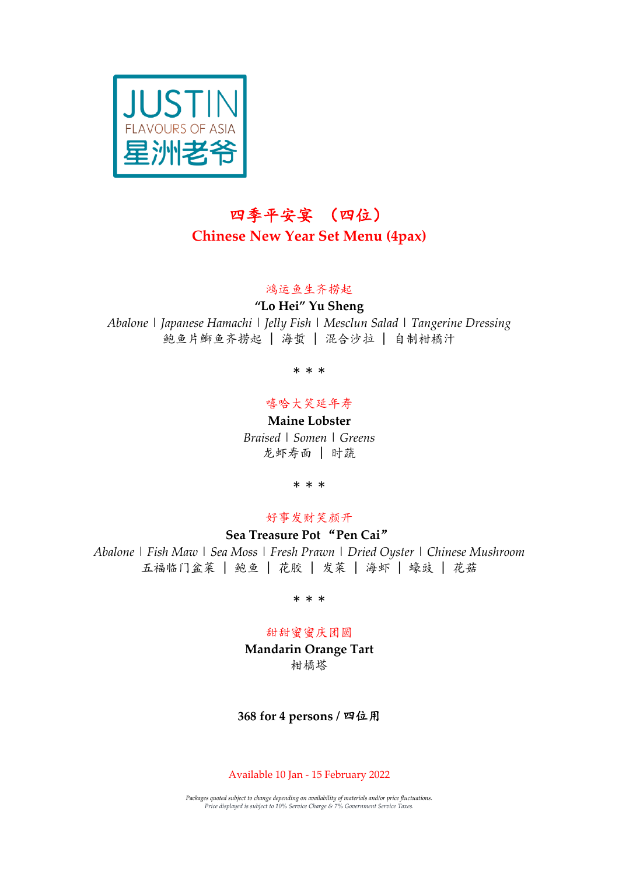

# 四季平安宴 (四位) **Chinese New Year Set Menu (4pax)**

#### 鸿运鱼生齐捞起

**"Lo Hei" Yu Sheng**  *Abalone | Japanese Hamachi | Jelly Fish | Mesclun Salad | Tangerine Dressing* 鲍鱼片鰤鱼齐捞起 | 海蜇 | 混合沙拉 | 自制柑橘汁

\* \* \*

### 嘻哈大笑延年寿

**Maine Lobster** *Braised | Somen | Greens* 龙虾寿面 | 时蔬

\* \* \*

### 好事发财笑颜开

**Sea Treasure Pot** "**Pen Cai**" *Abalone | Fish Maw | Sea Moss | Fresh Prawn | Dried Oyster | Chinese Mushroom*  五福临门盆菜 | 鲍鱼 | 花胶 | 发菜 | 海虾 | 蠔豉 | 花菇

\* \* \*

### 甜甜蜜蜜庆团圆

**Mandarin Orange Tart** 柑橘塔

#### **368 for 4 persons /** 四位用

Available 10 Jan - 15 February 2022

*Packages quoted subject to change depending on availability of materials and/or price fluctuations. Price displayed is subject to 10% Service Charge & 7% Government Service Taxes.*